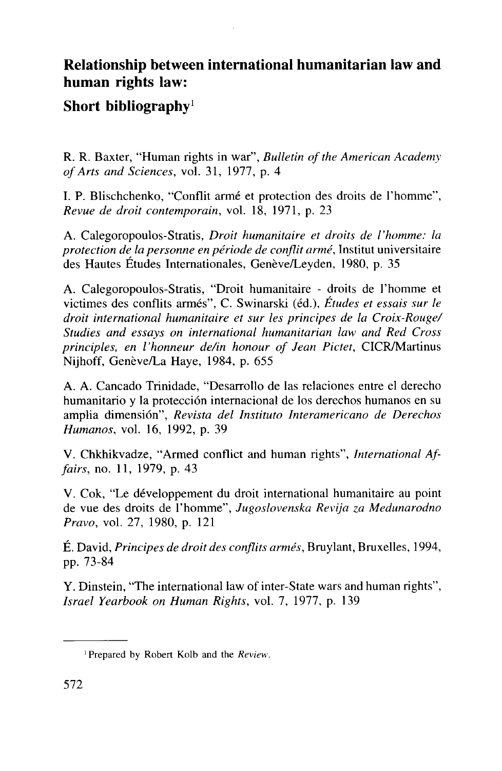## Relationship between international humanitarian law and human rights law:

## Short bibliography<sup>1</sup>

R. R. Baxter, "Human rights in war", *Bulletin of the American Academy of Arts and Sciences,* vol. 31, 1977, p. 4

I. P. Blischchenko, "Conflit arme et protection des droits de l'homme", *Revue de droit contemporain,* vol. 18, 1971, p. 23

A. Calegoropoulos-Stratis, *Droit humanitaire et droits de l'homme: la protection de la personne en periode de conflit arme,* Institut universitaire des Hautes Études Internationales, Genève/Leyden, 1980, p. 35

A. Calegoropoulos-Stratis, "Droit humanitaire - droits de l'homme et victimes des conflits armes", C. Swinarski (ed.), *Etudes et essais sur le droit international humanitaire et sur les principes de la Croix-Rouge/ Studies and essays on international humanitarian law and Red Cross principles, en Vhonneur de/in honour of Jean Pictet,* CICR/Martinus Nijhoff, Genève/La Haye, 1984, p. 655

A. A. Cancado Trinidade, "Desarrollo de las relaciones entre el derecho humanitario y la proteccion internacional de los derechos humanos en su amplia dimension", *Revista del Instituto Interamericano de Derechos Humanos,* vol. 16, 1992, p. 39

V. Chkhikvadze, "Armed conflict and human rights", *International Affairs,* no. 11, 1979, p. 43

V. Cok, "Le developpement du droit international humanitaire au point de vue des droits de Fhomme", *Jugoslovenska Revija za Medunarodno Pravo,* vol. 27, 1980, p. 121

E. David, *Principes de droit des conflits armes,* Bruylant, Bruxelles, 1994, pp. 73-84

Y. Dinstein, "The international law of inter-State wars and human rights", *Israel Yearbook on Human Rights,* vol. 7, 1977, p. 139

<sup>1</sup> Prepared by Robert Kolb and the *Review.*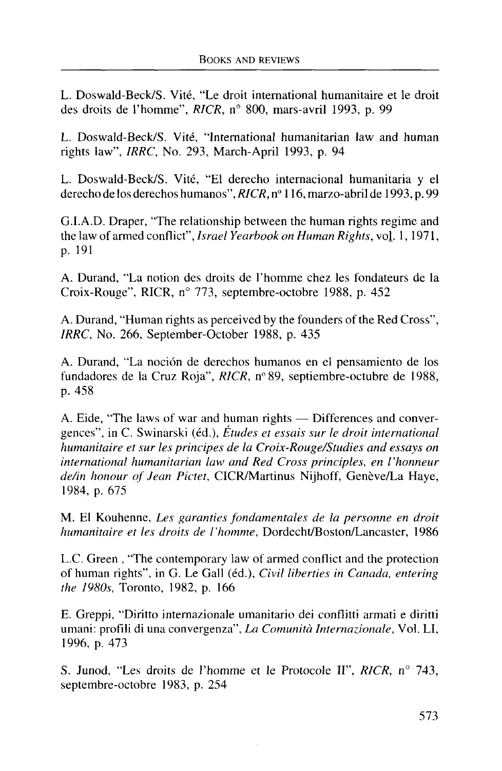L. Doswald-Beck/S. Vite, "Le droit international humanitaire et le droit des droits de l'homme", *RICR,* n° 800, mars-avril 1993, p. 99

L. Doswald-Beck/S. Vite, "International humanitarian law and human rights law", *IRRC,* No. 293, March-April 1993, p. 94

L. Doswald-Beck/S. Vite, "El derecho internacional humanitaria y el derecho de los derechos humanos", *RICR, n°* 116, marzo-abril de 1993, p. 99

G.I.A.D. Draper, "The relationship between the human rights regime and the law of armed conflict", *Israel Yearbook on Human Rights,* vol. 1,1971, p. 191

A. Durand, "La notion des droits de l'homme chez les fondateurs de la Croix-Rouge", RICR, n° 773, septembre-octobre 1988, p. 452

A. Durand, "Human rights as perceived by the founders of the Red Cross", *IRRC,* No. 266, September-October 1988, p. 435

A. Durand, "La nocion de derechos humanos en el pensamiento de los fundadores de la Cruz Roja", *RICR,* n°89, septiembre-octubre de 1988, p. 458

A. Eide, "The laws of war and human rights — Differences and convergences", in C. Swinarski (ed.), *Etudes et essais sur le droit international humanitaire et sur les principes de la Croix-Rouge/Studies and essays on international humanitarian law and Red Cross principles, en Vhonneur* de/in honour of Jean Pictet, CICR/Martinus Nijhoff, Genève/La Haye, 1984, p. 675

M. El Kouhenne, *Les garanties fondamentales de la personne en droit humanitaire et les droits de l'homme,* Dordecht/Boston/Lancaster, 1986

L.C. Green , "The contemporary law of armed conflict and the protection of human rights", in G. Le Gall (ed.), *Civil liberties in Canada, entering the 1980s,* Toronto, 1982, p. 166

E. Greppi, "Diritto intemazionale umanitario dei conflitti armati e diritti umani: profili di una convergenza", *La Comunita Intemazionale,* Vol. LI, 1996, p. 473

S. Junod, "Les droits de l'homme et le Protocole II", *RICR,* n° 743, septembre-octobre 1983, p. 254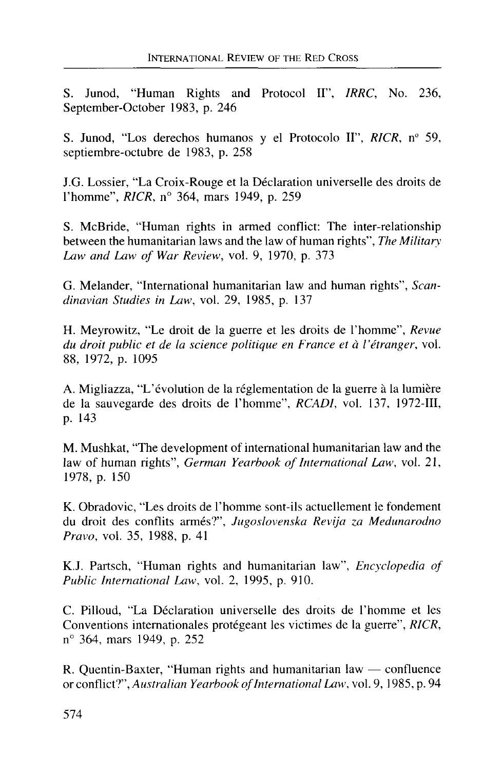S. Junod, "Human Rights and Protocol II", *IRRC,* No. 236, September-October 1983, p. 246

S. Junod, "Los derechos humanos y el Protocolo II", *RICR,* n° 59, septiembre-octubre de 1983, p. 258

J.G. Lossier, "La Croix-Rouge et la Declaration universelle des droits de 1'homme", *RICR,* n° 364, mars 1949, p. 259

S. McBride, "Human rights in armed conflict: The inter-relationship between the humanitarian laws and the law of human rights", *The Military Law and Law of War Review,* vol. 9, 1970, p. 373

G. Melander, "International humanitarian law and human rights", *Scandinavian Studies in Law,* vol. 29, 1985, p. 137

H. Meyrowitz, "Le droit de la guerre et les droits de 1'homme", *Revue du droit public et de la science politique en France et a I'etranger,* vol. 88, 1972, p. 1095

A. Migliazza, "L'évolution de la réglementation de la guerre à la lumière de la sauvegarde des droits de 1'homme", *RCADI,* vol. 137, 1972-III, p. 143

M. Mushkat, "The development of international humanitarian law and the law of human rights", *German Yearbook of International Law,* vol. 21, 1978, p. 150

K. Obradovic, "Les droits de 1'homme sont-ils actuellement le fondement du droit des conflits armes?", *Jugoslovenska Revija za Medunarodno Pravo,* vol. 35, 1988, p. 41

K.J. Partsch, "Human rights and humanitarian law", *Encyclopedia of Public International Law,* vol. 2, 1995, p. 910.

C. Pilloud, "La Déclaration universelle des droits de l'homme et les Conventions internationales protegeant les victimes de la guerre", *RICR,* n° 364, mars 1949, p. 252

R. Quentin-Baxter, "Human rights and humanitarian law — confluence or conflict?", *Australian Yearbook of International Law,* vol. 9, 1985, p. 94